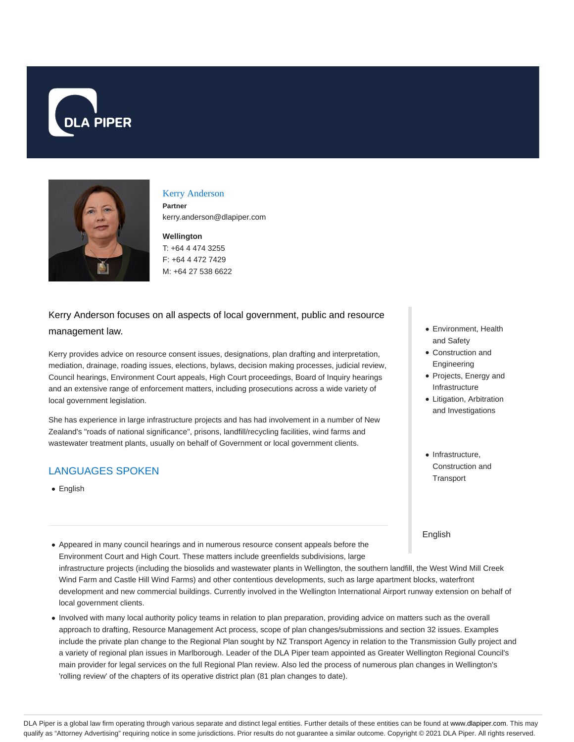



#### Kerry Anderson

**Partner** kerry.anderson@dlapiper.com

### **Wellington**

T: +64 4 474 3255 F: +64 4 472 7429 M: +64 27 538 6622

# Kerry Anderson focuses on all aspects of local government, public and resource management law.

Kerry provides advice on resource consent issues, designations, plan drafting and interpretation, mediation, drainage, roading issues, elections, bylaws, decision making processes, judicial review, Council hearings, Environment Court appeals, High Court proceedings, Board of Inquiry hearings and an extensive range of enforcement matters, including prosecutions across a wide variety of local government legislation.

She has experience in large infrastructure projects and has had involvement in a number of New Zealand's "roads of national significance", prisons, landfill/recycling facilities, wind farms and wastewater treatment plants, usually on behalf of Government or local government clients.

## LANGUAGES SPOKEN

• English

- Environment, Health and Safety
- Construction and Engineering
- Projects, Energy and Infrastructure
- Litigation, Arbitration and Investigations
- Infrastructure, Construction and **Transport**

English

- Appeared in many council hearings and in numerous resource consent appeals before the Environment Court and High Court. These matters include greenfields subdivisions, large infrastructure projects (including the biosolids and wastewater plants in Wellington, the southern landfill, the West Wind Mill Creek Wind Farm and Castle Hill Wind Farms) and other contentious developments, such as large apartment blocks, waterfront development and new commercial buildings. Currently involved in the Wellington International Airport runway extension on behalf of local government clients.
- Involved with many local authority policy teams in relation to plan preparation, providing advice on matters such as the overall approach to drafting, Resource Management Act process, scope of plan changes/submissions and section 32 issues. Examples include the private plan change to the Regional Plan sought by NZ Transport Agency in relation to the Transmission Gully project and a variety of regional plan issues in Marlborough. Leader of the DLA Piper team appointed as Greater Wellington Regional Council's main provider for legal services on the full Regional Plan review. Also led the process of numerous plan changes in Wellington's 'rolling review' of the chapters of its operative district plan (81 plan changes to date).

DLA Piper is a global law firm operating through various separate and distinct legal entities. Further details of these entities can be found at www.dlapiper.com. This may qualify as "Attorney Advertising" requiring notice in some jurisdictions. Prior results do not guarantee a similar outcome. Copyright @ 2021 DLA Piper. All rights reserved.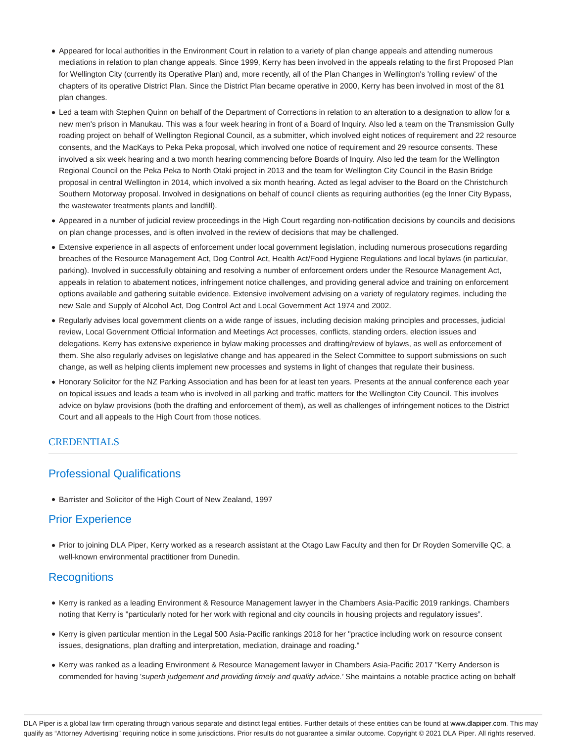- Appeared for local authorities in the Environment Court in relation to a variety of plan change appeals and attending numerous mediations in relation to plan change appeals. Since 1999, Kerry has been involved in the appeals relating to the first Proposed Plan for Wellington City (currently its Operative Plan) and, more recently, all of the Plan Changes in Wellington's 'rolling review' of the chapters of its operative District Plan. Since the District Plan became operative in 2000, Kerry has been involved in most of the 81 plan changes.
- Led a team with Stephen Quinn on behalf of the Department of Corrections in relation to an alteration to a designation to allow for a new men's prison in Manukau. This was a four week hearing in front of a Board of Inquiry. Also led a team on the Transmission Gully roading project on behalf of Wellington Regional Council, as a submitter, which involved eight notices of requirement and 22 resource consents, and the MacKays to Peka Peka proposal, which involved one notice of requirement and 29 resource consents. These involved a six week hearing and a two month hearing commencing before Boards of Inquiry. Also led the team for the Wellington Regional Council on the Peka Peka to North Otaki project in 2013 and the team for Wellington City Council in the Basin Bridge proposal in central Wellington in 2014, which involved a six month hearing. Acted as legal adviser to the Board on the Christchurch Southern Motorway proposal. Involved in designations on behalf of council clients as requiring authorities (eg the Inner City Bypass, the wastewater treatments plants and landfill).
- Appeared in a number of judicial review proceedings in the High Court regarding non-notification decisions by councils and decisions on plan change processes, and is often involved in the review of decisions that may be challenged.
- Extensive experience in all aspects of enforcement under local government legislation, including numerous prosecutions regarding breaches of the Resource Management Act, Dog Control Act, Health Act/Food Hygiene Regulations and local bylaws (in particular, parking). Involved in successfully obtaining and resolving a number of enforcement orders under the Resource Management Act, appeals in relation to abatement notices, infringement notice challenges, and providing general advice and training on enforcement options available and gathering suitable evidence. Extensive involvement advising on a variety of regulatory regimes, including the new Sale and Supply of Alcohol Act, Dog Control Act and Local Government Act 1974 and 2002.
- Regularly advises local government clients on a wide range of issues, including decision making principles and processes, judicial review, Local Government Official Information and Meetings Act processes, conflicts, standing orders, election issues and delegations. Kerry has extensive experience in bylaw making processes and drafting/review of bylaws, as well as enforcement of them. She also regularly advises on legislative change and has appeared in the Select Committee to support submissions on such change, as well as helping clients implement new processes and systems in light of changes that regulate their business.
- Honorary Solicitor for the NZ Parking Association and has been for at least ten years. Presents at the annual conference each year on topical issues and leads a team who is involved in all parking and traffic matters for the Wellington City Council. This involves advice on bylaw provisions (both the drafting and enforcement of them), as well as challenges of infringement notices to the District Court and all appeals to the High Court from those notices.

### **CREDENTIALS**

## Professional Qualifications

Barrister and Solicitor of the High Court of New Zealand, 1997

## Prior Experience

Prior to joining DLA Piper, Kerry worked as a research assistant at the Otago Law Faculty and then for Dr Royden Somerville QC, a well-known environmental practitioner from Dunedin.

## **Recognitions**

- Kerry is ranked as a leading Environment & Resource Management lawyer in the Chambers Asia-Pacific 2019 rankings. Chambers noting that Kerry is "particularly noted for her work with regional and city councils in housing projects and regulatory issues".
- Kerry is given particular mention in the Legal 500 Asia-Pacific rankings 2018 for her "practice including work on resource consent issues, designations, plan drafting and interpretation, mediation, drainage and roading."
- Kerry was ranked as a leading Environment & Resource Management lawyer in Chambers Asia-Pacific 2017 "Kerry Anderson is commended for having 'superb judgement and providing timely and quality advice.' She maintains a notable practice acting on behalf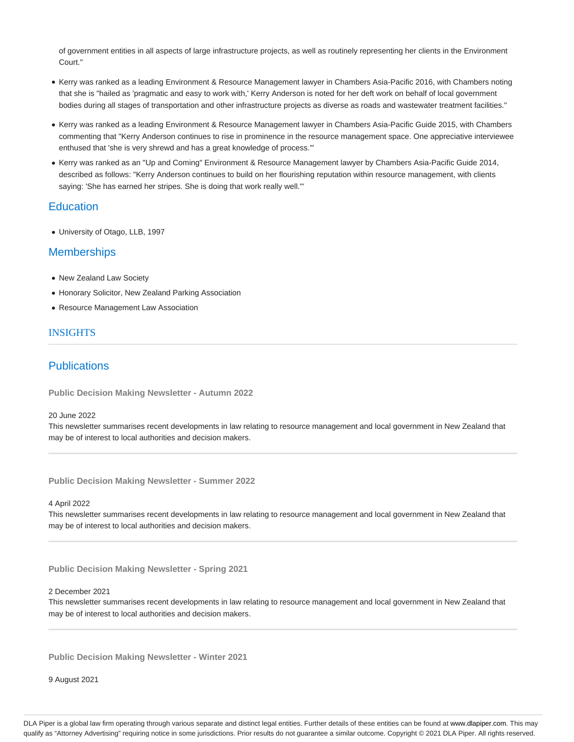of government entities in all aspects of large infrastructure projects, as well as routinely representing her clients in the Environment Court."

- Kerry was ranked as a leading Environment & Resource Management lawyer in Chambers Asia-Pacific 2016, with Chambers noting that she is "hailed as 'pragmatic and easy to work with,' Kerry Anderson is noted for her deft work on behalf of local government bodies during all stages of transportation and other infrastructure projects as diverse as roads and wastewater treatment facilities."
- Kerry was ranked as a leading Environment & Resource Management lawyer in Chambers Asia-Pacific Guide 2015, with Chambers commenting that "Kerry Anderson continues to rise in prominence in the resource management space. One appreciative interviewee enthused that 'she is very shrewd and has a great knowledge of process.'"
- Kerry was ranked as an "Up and Coming" Environment & Resource Management lawyer by Chambers Asia-Pacific Guide 2014, described as follows: "Kerry Anderson continues to build on her flourishing reputation within resource management, with clients saying: 'She has earned her stripes. She is doing that work really well.'"

### **Education**

University of Otago, LLB, 1997

### **Memberships**

- New Zealand Law Society
- Honorary Solicitor, New Zealand Parking Association
- Resource Management Law Association

### **INSIGHTS**

## **Publications**

**Public Decision Making Newsletter - Autumn 2022**

#### 20 June 2022

This newsletter summarises recent developments in law relating to resource management and local government in New Zealand that may be of interest to local authorities and decision makers.

**Public Decision Making Newsletter - Summer 2022**

### 4 April 2022

This newsletter summarises recent developments in law relating to resource management and local government in New Zealand that may be of interest to local authorities and decision makers.

**Public Decision Making Newsletter - Spring 2021**

#### 2 December 2021

This newsletter summarises recent developments in law relating to resource management and local government in New Zealand that may be of interest to local authorities and decision makers.

**Public Decision Making Newsletter - Winter 2021**

9 August 2021

DLA Piper is a global law firm operating through various separate and distinct legal entities. Further details of these entities can be found at www.dlapiper.com. This may qualify as "Attorney Advertising" requiring notice in some jurisdictions. Prior results do not guarantee a similar outcome. Copyright © 2021 DLA Piper. All rights reserved.